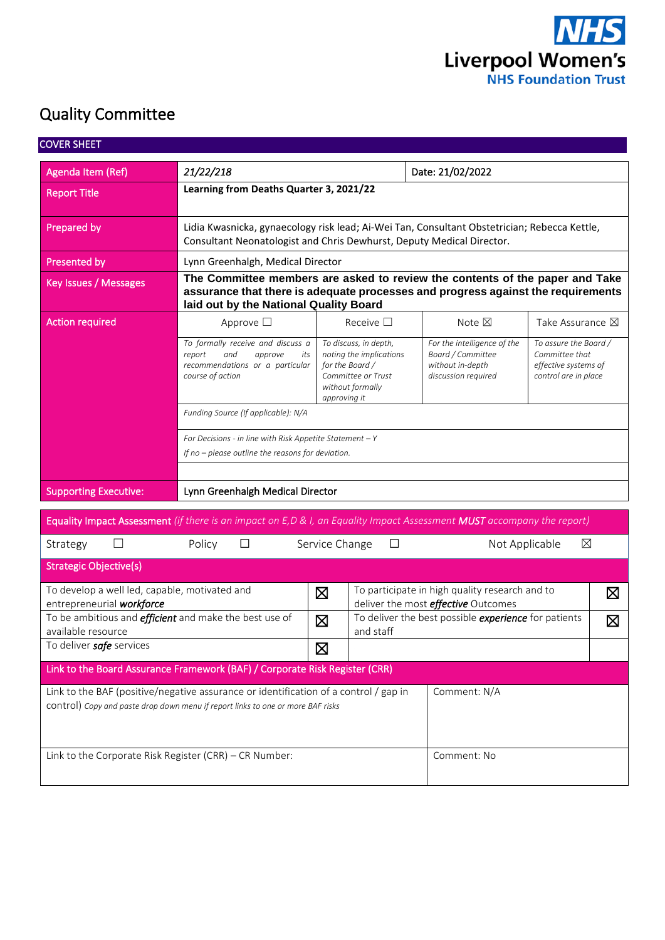

# Quality Committee

| <b>COVER SHEET</b>                                                                  |                                                                                                                                                                                                            |                                                                                                                                                                                                                              |                                                      |                                                |                                                                                         |  |  |  |  |  |  |
|-------------------------------------------------------------------------------------|------------------------------------------------------------------------------------------------------------------------------------------------------------------------------------------------------------|------------------------------------------------------------------------------------------------------------------------------------------------------------------------------------------------------------------------------|------------------------------------------------------|------------------------------------------------|-----------------------------------------------------------------------------------------|--|--|--|--|--|--|
| Agenda Item (Ref)                                                                   | 21/22/218                                                                                                                                                                                                  |                                                                                                                                                                                                                              | Date: 21/02/2022                                     |                                                |                                                                                         |  |  |  |  |  |  |
| <b>Report Title</b>                                                                 | Learning from Deaths Quarter 3, 2021/22                                                                                                                                                                    |                                                                                                                                                                                                                              |                                                      |                                                |                                                                                         |  |  |  |  |  |  |
| Prepared by                                                                         | Lidia Kwasnicka, gynaecology risk lead; Ai-Wei Tan, Consultant Obstetrician; Rebecca Kettle,<br>Consultant Neonatologist and Chris Dewhurst, Deputy Medical Director.                                      |                                                                                                                                                                                                                              |                                                      |                                                |                                                                                         |  |  |  |  |  |  |
| Presented by                                                                        | Lynn Greenhalgh, Medical Director                                                                                                                                                                          |                                                                                                                                                                                                                              |                                                      |                                                |                                                                                         |  |  |  |  |  |  |
| Key Issues / Messages                                                               | The Committee members are asked to review the contents of the paper and Take<br>assurance that there is adequate processes and progress against the requirements<br>laid out by the National Quality Board |                                                                                                                                                                                                                              |                                                      |                                                |                                                                                         |  |  |  |  |  |  |
| <b>Action required</b>                                                              | Approve $\square$                                                                                                                                                                                          | Receive $\square$                                                                                                                                                                                                            | Note $\boxtimes$                                     | Take Assurance $\boxtimes$                     |                                                                                         |  |  |  |  |  |  |
|                                                                                     | To formally receive and discuss a<br>report<br>and<br>approve<br>its<br>recommendations or a particular<br>course of action                                                                                | To discuss, in depth,<br>For the intelligence of the<br>Board / Committee<br>noting the implications<br>for the Board /<br>without in-depth<br>Committee or Trust<br>discussion required<br>without formally<br>approving it |                                                      |                                                | To assure the Board /<br>Committee that<br>effective systems of<br>control are in place |  |  |  |  |  |  |
|                                                                                     | Funding Source (If applicable): N/A                                                                                                                                                                        |                                                                                                                                                                                                                              |                                                      |                                                |                                                                                         |  |  |  |  |  |  |
|                                                                                     | For Decisions - in line with Risk Appetite Statement $-Y$<br>If no - please outline the reasons for deviation.                                                                                             |                                                                                                                                                                                                                              |                                                      |                                                |                                                                                         |  |  |  |  |  |  |
| <b>Supporting Executive:</b>                                                        | Lynn Greenhalgh Medical Director                                                                                                                                                                           |                                                                                                                                                                                                                              |                                                      |                                                |                                                                                         |  |  |  |  |  |  |
|                                                                                     | Equality Impact Assessment (if there is an impact on E,D & I, an Equality Impact Assessment MUST accompany the report)                                                                                     |                                                                                                                                                                                                                              |                                                      |                                                |                                                                                         |  |  |  |  |  |  |
| Strategy<br>$\Box$                                                                  | Policy<br>$\Box$                                                                                                                                                                                           | Service Change<br>□                                                                                                                                                                                                          | Not Applicable                                       | ⊠                                              |                                                                                         |  |  |  |  |  |  |
| <b>Strategic Objective(s)</b>                                                       |                                                                                                                                                                                                            |                                                                                                                                                                                                                              |                                                      |                                                |                                                                                         |  |  |  |  |  |  |
| To develop a well led, capable, motivated and<br>entrepreneurial workforce          |                                                                                                                                                                                                            | ⊠                                                                                                                                                                                                                            | deliver the most <i>effective</i> Outcomes           | To participate in high quality research and to |                                                                                         |  |  |  |  |  |  |
| To be ambitious and <i>efficient</i> and make the best use of<br>available resource |                                                                                                                                                                                                            | $\boxtimes$<br>and staff                                                                                                                                                                                                     | To deliver the best possible experience for patients |                                                | $\boxtimes$                                                                             |  |  |  |  |  |  |
| To deliver safe services                                                            |                                                                                                                                                                                                            | ⊠                                                                                                                                                                                                                            |                                                      |                                                |                                                                                         |  |  |  |  |  |  |
| Link to the Board Assurance Framework (BAF) / Corporate Risk Register (CRR)         |                                                                                                                                                                                                            |                                                                                                                                                                                                                              |                                                      |                                                |                                                                                         |  |  |  |  |  |  |
|                                                                                     | Link to the BAF (positive/negative assurance or identification of a control / gap in<br>control) Copy and paste drop down menu if report links to one or more BAF risks                                    |                                                                                                                                                                                                                              | Comment: N/A                                         |                                                |                                                                                         |  |  |  |  |  |  |
| Link to the Corporate Risk Register (CRR) - CR Number:                              |                                                                                                                                                                                                            |                                                                                                                                                                                                                              | Comment: No                                          |                                                |                                                                                         |  |  |  |  |  |  |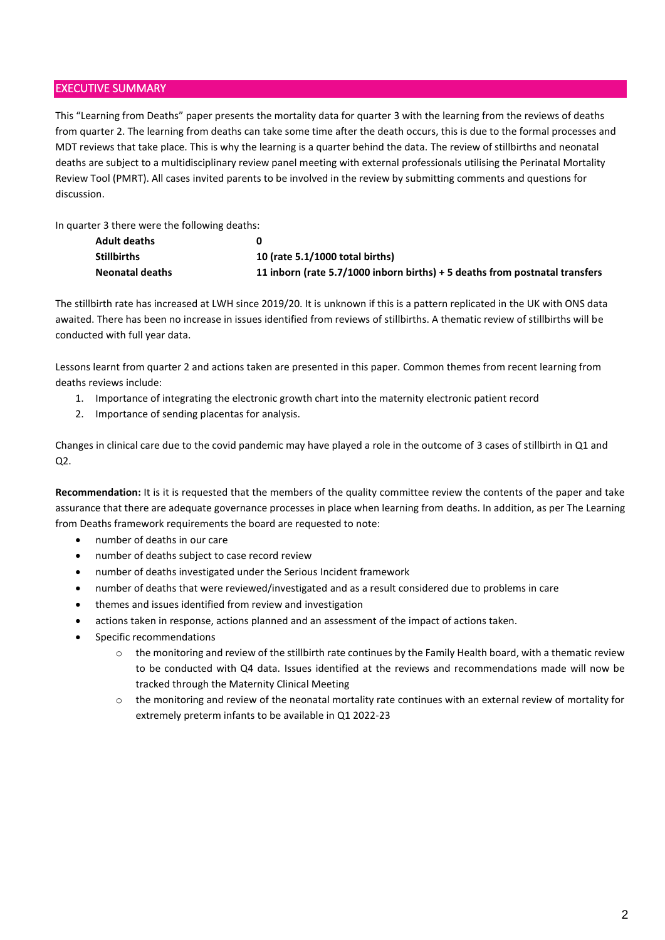#### EXECUTIVE SUMMARY

This "Learning from Deaths" paper presents the mortality data for quarter 3 with the learning from the reviews of deaths from quarter 2. The learning from deaths can take some time after the death occurs, this is due to the formal processes and MDT reviews that take place. This is why the learning is a quarter behind the data. The review of stillbirths and neonatal deaths are subject to a multidisciplinary review panel meeting with external professionals utilising the Perinatal Mortality Review Tool (PMRT). All cases invited parents to be involved in the review by submitting comments and questions for discussion.

In quarter 3 there were the following deaths:

| <b>Adult deaths</b>    |                                                                             |
|------------------------|-----------------------------------------------------------------------------|
| <b>Stillbirths</b>     | 10 (rate 5.1/1000 total births)                                             |
| <b>Neonatal deaths</b> | 11 inborn (rate 5.7/1000 inborn births) + 5 deaths from postnatal transfers |

The stillbirth rate has increased at LWH since 2019/20. It is unknown if this is a pattern replicated in the UK with ONS data awaited. There has been no increase in issues identified from reviews of stillbirths. A thematic review of stillbirths will be conducted with full year data.

Lessons learnt from quarter 2 and actions taken are presented in this paper. Common themes from recent learning from deaths reviews include:

- 1. Importance of integrating the electronic growth chart into the maternity electronic patient record
- 2. Importance of sending placentas for analysis.

Changes in clinical care due to the covid pandemic may have played a role in the outcome of 3 cases of stillbirth in Q1 and Q2.

**Recommendation:** It is it is requested that the members of the quality committee review the contents of the paper and take assurance that there are adequate governance processes in place when learning from deaths. In addition, as per The Learning from Deaths framework requirements the board are requested to note:

- number of deaths in our care
- number of deaths subject to case record review
- number of deaths investigated under the Serious Incident framework
- number of deaths that were reviewed/investigated and as a result considered due to problems in care
- themes and issues identified from review and investigation
- actions taken in response, actions planned and an assessment of the impact of actions taken.
- Specific recommendations
	- $\circ$  the monitoring and review of the stillbirth rate continues by the Family Health board, with a thematic review to be conducted with Q4 data. Issues identified at the reviews and recommendations made will now be tracked through the Maternity Clinical Meeting
	- $\circ$  the monitoring and review of the neonatal mortality rate continues with an external review of mortality for extremely preterm infants to be available in Q1 2022-23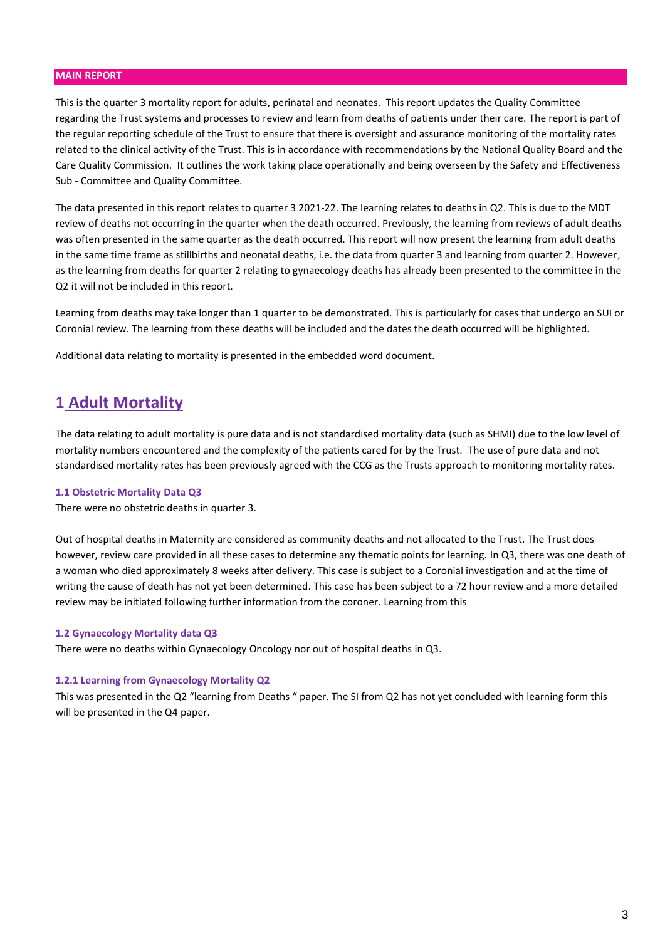#### **MAIN REPORT**

This is the quarter 3 mortality report for adults, perinatal and neonates. This report updates the Quality Committee regarding the Trust systems and processes to review and learn from deaths of patients under their care. The report is part of the regular reporting schedule of the Trust to ensure that there is oversight and assurance monitoring of the mortality rates related to the clinical activity of the Trust. This is in accordance with recommendations by the National Quality Board and the Care Quality Commission. It outlines the work taking place operationally and being overseen by the Safety and Effectiveness Sub - Committee and Quality Committee.

The data presented in this report relates to quarter 3 2021-22. The learning relates to deaths in Q2. This is due to the MDT review of deaths not occurring in the quarter when the death occurred. Previously, the learning from reviews of adult deaths was often presented in the same quarter as the death occurred. This report will now present the learning from adult deaths in the same time frame as stillbirths and neonatal deaths, i.e. the data from quarter 3 and learning from quarter 2. However, as the learning from deaths for quarter 2 relating to gynaecology deaths has already been presented to the committee in the Q2 it will not be included in this report.

Learning from deaths may take longer than 1 quarter to be demonstrated. This is particularly for cases that undergo an SUI or Coronial review. The learning from these deaths will be included and the dates the death occurred will be highlighted.

Additional data relating to mortality is presented in the embedded word document.

### **1 Adult Mortality**

The data relating to adult mortality is pure data and is not standardised mortality data (such as SHMI) due to the low level of mortality numbers encountered and the complexity of the patients cared for by the Trust. The use of pure data and not standardised mortality rates has been previously agreed with the CCG as the Trusts approach to monitoring mortality rates.

#### **1.1 Obstetric Mortality Data Q3**

There were no obstetric deaths in quarter 3.

Out of hospital deaths in Maternity are considered as community deaths and not allocated to the Trust. The Trust does however, review care provided in all these cases to determine any thematic points for learning. In Q3, there was one death of a woman who died approximately 8 weeks after delivery. This case is subject to a Coronial investigation and at the time of writing the cause of death has not yet been determined. This case has been subject to a 72 hour review and a more detailed review may be initiated following further information from the coroner. Learning from this

#### **1.2 Gynaecology Mortality data Q3**

There were no deaths within Gynaecology Oncology nor out of hospital deaths in Q3.

#### **1.2.1 Learning from Gynaecology Mortality Q2**

This was presented in the Q2 "learning from Deaths " paper. The SI from Q2 has not yet concluded with learning form this will be presented in the Q4 paper.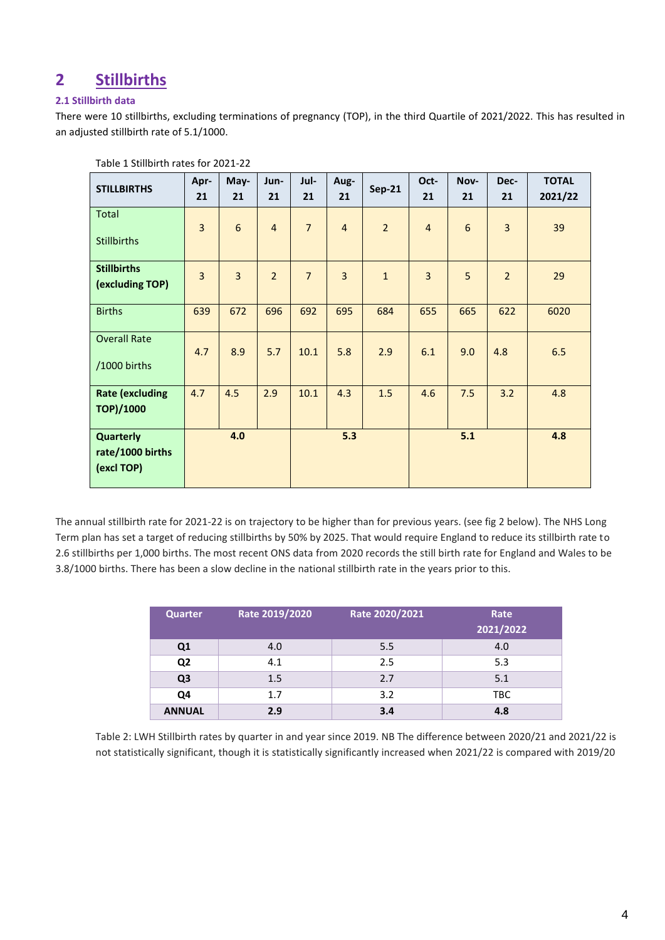## **2 Stillbirths**

#### **2.1 Stillbirth data**

There were 10 stillbirths, excluding terminations of pregnancy (TOP), in the third Quartile of 2021/2022. This has resulted in an adjusted stillbirth rate of 5.1/1000.

| <b>STILLBIRTHS</b>                                 | Apr-<br>21 | May-<br>21     | Jun-<br>21     | Jul-<br>21     | Aug-<br>21     | <b>Sep-21</b>  | Oct-<br>21     | Nov-<br>21       | Dec-<br>21     | <b>TOTAL</b><br>2021/22 |
|----------------------------------------------------|------------|----------------|----------------|----------------|----------------|----------------|----------------|------------------|----------------|-------------------------|
| Total<br><b>Stillbirths</b>                        | 3          | $\sqrt{6}$     | $\overline{4}$ | $\overline{7}$ | $\overline{4}$ | $\overline{2}$ | $\overline{4}$ | $\boldsymbol{6}$ | 3              | 39                      |
| <b>Stillbirths</b><br>(excluding TOP)              | 3          | $\overline{3}$ | $\overline{2}$ | $\overline{7}$ | $\overline{3}$ | $\mathbf{1}$   | 3              | 5                | $\overline{2}$ | 29                      |
| <b>Births</b>                                      | 639        | 672            | 696            | 692            | 695            | 684            | 655            | 665              | 622            | 6020                    |
| <b>Overall Rate</b><br>/1000 births                | 4.7        | 8.9            | 5.7            | 10.1           | 5.8            | 2.9            | 6.1            | 9.0              | 4.8            | 6.5                     |
| <b>Rate (excluding</b><br><b>TOP)/1000</b>         | 4.7        | 4.5            | 2.9            | 10.1           | 4.3            | 1.5            | 4.6            | 7.5              | 3.2            | 4.8                     |
| <b>Quarterly</b><br>rate/1000 births<br>(excl TOP) | 4.0        |                |                | 5.3            |                |                |                | 5.1              | 4.8            |                         |

Table 1 Stillbirth rates for 2021-22

The annual stillbirth rate for 2021-22 is on trajectory to be higher than for previous years. (see fig 2 below). The NHS Long Term plan has set a target of reducing stillbirths by 50% by 2025. That would require England to reduce its stillbirth rate to 2.6 stillbirths per 1,000 births. The most recent ONS data from 2020 records the still birth rate for England and Wales to be 3.8/1000 births. There has been a slow decline in the national stillbirth rate in the years prior to this.

| <b>Quarter</b> | Rate 2019/2020 | Rate 2020/2021 | Rate       |
|----------------|----------------|----------------|------------|
|                |                |                | 2021/2022  |
| Q <sub>1</sub> | 4.0            | 5.5            | 4.0        |
| Q <sub>2</sub> | 4.1            | 2.5            | 5.3        |
| Q <sub>3</sub> | 1.5            | 2.7            | 5.1        |
| Q4             | 1.7            | 3.2            | <b>TBC</b> |
| <b>ANNUAL</b>  | 2.9            | 3.4            | 4.8        |

Table 2: LWH Stillbirth rates by quarter in and year since 2019. NB The difference between 2020/21 and 2021/22 is not statistically significant, though it is statistically significantly increased when 2021/22 is compared with 2019/20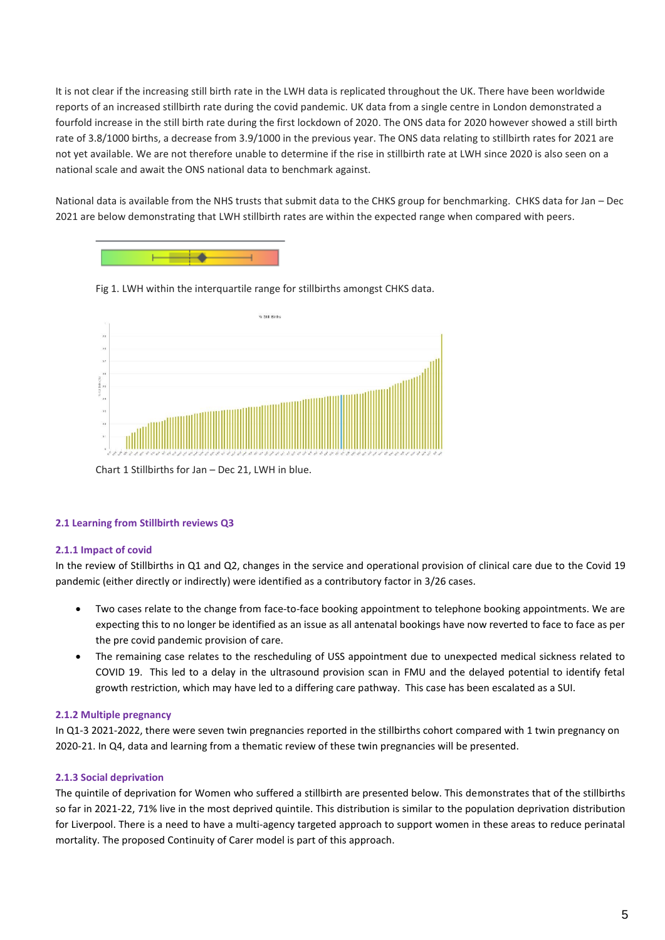It is not clear if the increasing still birth rate in the LWH data is replicated throughout the UK. There have been worldwide reports of an increased stillbirth rate during the covid pandemic. UK data from a single centre in London demonstrated a fourfold increase in the still birth rate during the first lockdown of 2020. The ONS data for 2020 however showed a still birth rate of 3.8/1000 births, a decrease from 3.9/1000 in the previous year. The ONS data relating to stillbirth rates for 2021 are not yet available. We are not therefore unable to determine if the rise in stillbirth rate at LWH since 2020 is also seen on a national scale and await the ONS national data to benchmark against.

National data is available from the NHS trusts that submit data to the CHKS group for benchmarking. CHKS data for Jan – Dec 2021 are below demonstrating that LWH stillbirth rates are within the expected range when compared with peers.







Chart 1 Stillbirths for Jan – Dec 21, LWH in blue.

#### **2.1 Learning from Stillbirth reviews Q3**

#### **2.1.1 Impact of covid**

In the review of Stillbirths in Q1 and Q2, changes in the service and operational provision of clinical care due to the Covid 19 pandemic (either directly or indirectly) were identified as a contributory factor in 3/26 cases.

- Two cases relate to the change from face-to-face booking appointment to telephone booking appointments. We are expecting this to no longer be identified as an issue as all antenatal bookings have now reverted to face to face as per the pre covid pandemic provision of care.
- The remaining case relates to the rescheduling of USS appointment due to unexpected medical sickness related to COVID 19. This led to a delay in the ultrasound provision scan in FMU and the delayed potential to identify fetal growth restriction, which may have led to a differing care pathway. This case has been escalated as a SUI.

#### **2.1.2 Multiple pregnancy**

In Q1-3 2021-2022, there were seven twin pregnancies reported in the stillbirths cohort compared with 1 twin pregnancy on 2020-21. In Q4, data and learning from a thematic review of these twin pregnancies will be presented.

#### **2.1.3 Social deprivation**

The quintile of deprivation for Women who suffered a stillbirth are presented below. This demonstrates that of the stillbirths so far in 2021-22, 71% live in the most deprived quintile. This distribution is similar to the population deprivation distribution for Liverpool. There is a need to have a multi-agency targeted approach to support women in these areas to reduce perinatal mortality. The proposed Continuity of Carer model is part of this approach.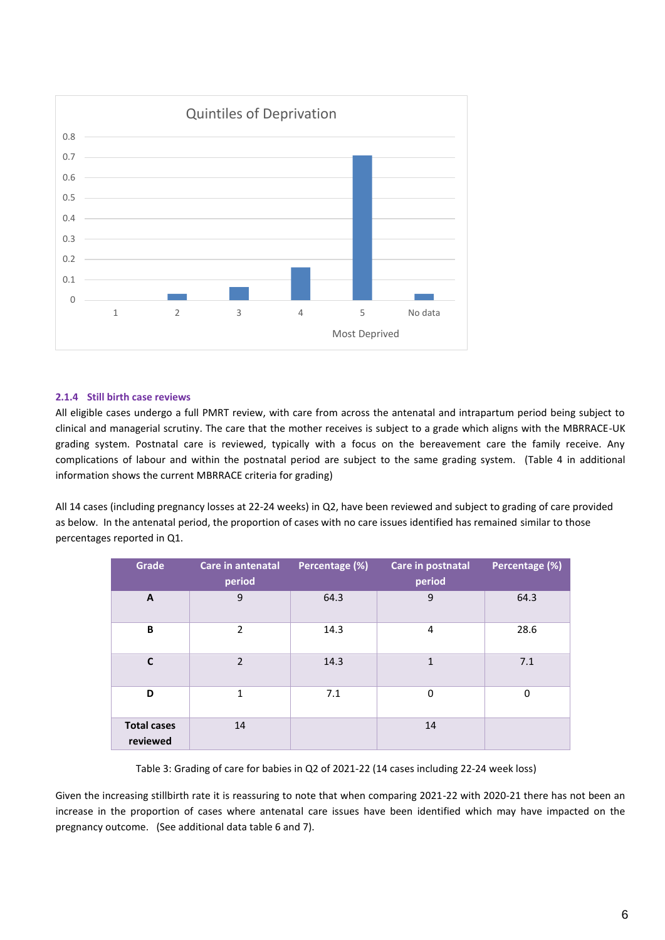

#### **2.1.4 Still birth case reviews**

All eligible cases undergo a full PMRT review, with care from across the antenatal and intrapartum period being subject to clinical and managerial scrutiny. The care that the mother receives is subject to a grade which aligns with the MBRRACE-UK grading system. Postnatal care is reviewed, typically with a focus on the bereavement care the family receive. Any complications of labour and within the postnatal period are subject to the same grading system. (Table 4 in additional information shows the current MBRRACE criteria for grading)

All 14 cases (including pregnancy losses at 22-24 weeks) in Q2, have been reviewed and subject to grading of care provided as below. In the antenatal period, the proportion of cases with no care issues identified has remained similar to those percentages reported in Q1.

| Grade                          | Care in antenatal<br>period | Percentage (%) | Care in postnatal<br>period | Percentage (%) |
|--------------------------------|-----------------------------|----------------|-----------------------------|----------------|
| A                              | 9                           | 64.3           | 9                           | 64.3           |
| B                              | $\overline{2}$              | 14.3           | 4                           | 28.6           |
| C                              | $\overline{2}$              | 14.3           | $\mathbf{1}$                | 7.1            |
| D                              | $\mathbf{1}$                | 7.1            | 0                           | 0              |
| <b>Total cases</b><br>reviewed | 14                          |                | 14                          |                |

Table 3: Grading of care for babies in Q2 of 2021-22 (14 cases including 22-24 week loss)

Given the increasing stillbirth rate it is reassuring to note that when comparing 2021-22 with 2020-21 there has not been an increase in the proportion of cases where antenatal care issues have been identified which may have impacted on the pregnancy outcome. (See additional data table 6 and 7).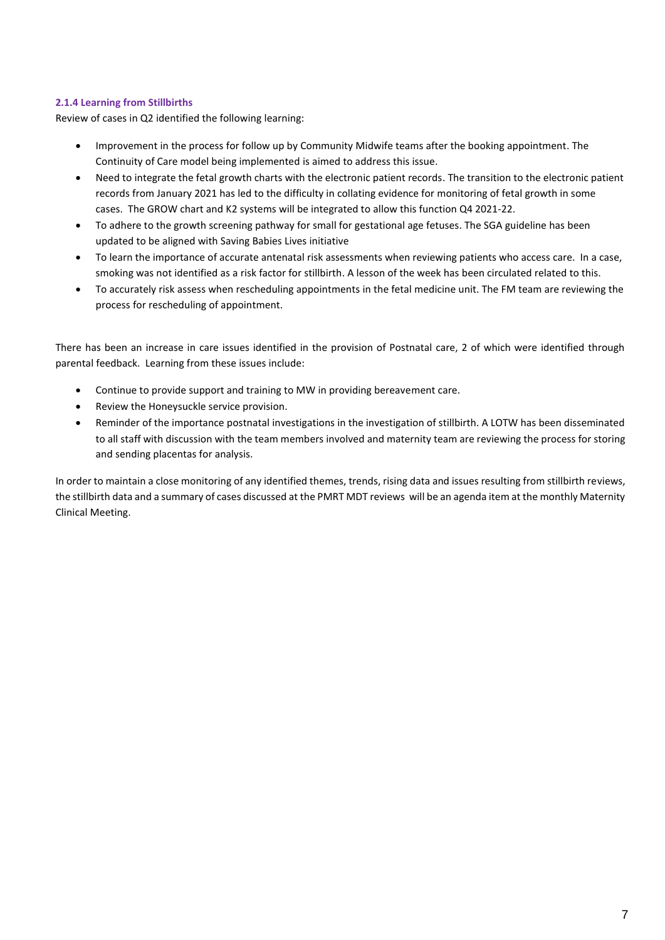#### **2.1.4 Learning from Stillbirths**

Review of cases in Q2 identified the following learning:

- Improvement in the process for follow up by Community Midwife teams after the booking appointment. The Continuity of Care model being implemented is aimed to address this issue.
- Need to integrate the fetal growth charts with the electronic patient records. The transition to the electronic patient records from January 2021 has led to the difficulty in collating evidence for monitoring of fetal growth in some cases. The GROW chart and K2 systems will be integrated to allow this function Q4 2021-22.
- To adhere to the growth screening pathway for small for gestational age fetuses. The SGA guideline has been updated to be aligned with Saving Babies Lives initiative
- To learn the importance of accurate antenatal risk assessments when reviewing patients who access care. In a case, smoking was not identified as a risk factor for stillbirth. A lesson of the week has been circulated related to this.
- To accurately risk assess when rescheduling appointments in the fetal medicine unit. The FM team are reviewing the process for rescheduling of appointment.

There has been an increase in care issues identified in the provision of Postnatal care, 2 of which were identified through parental feedback. Learning from these issues include:

- Continue to provide support and training to MW in providing bereavement care.
- Review the Honeysuckle service provision.
- Reminder of the importance postnatal investigations in the investigation of stillbirth. A LOTW has been disseminated to all staff with discussion with the team members involved and maternity team are reviewing the process for storing and sending placentas for analysis.

In order to maintain a close monitoring of any identified themes, trends, rising data and issues resulting from stillbirth reviews, the stillbirth data and a summary of cases discussed at the PMRT MDT reviews will be an agenda item at the monthly Maternity Clinical Meeting.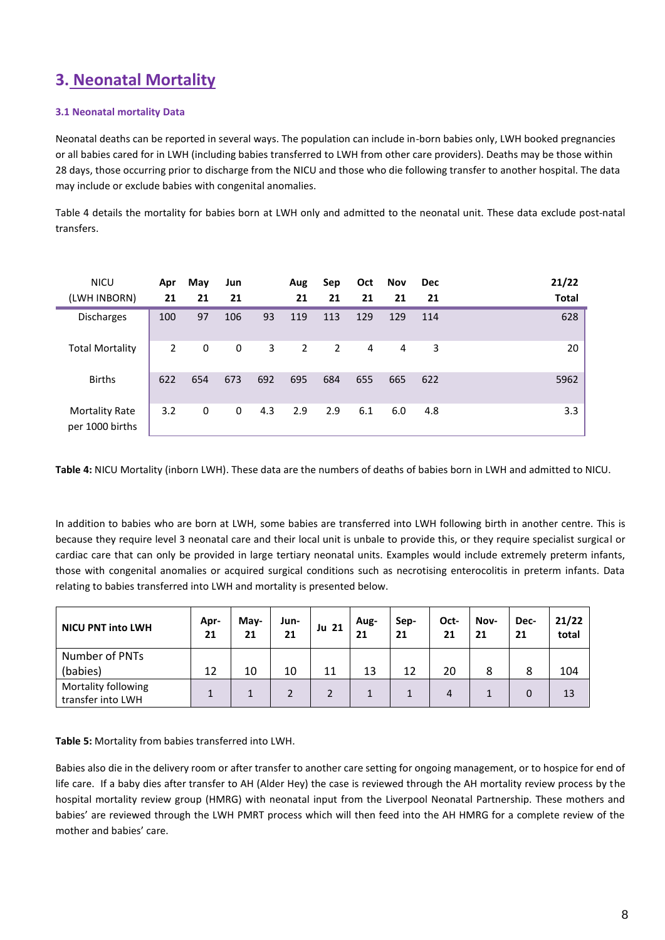# **3. Neonatal Mortality**

#### **3.1 Neonatal mortality Data**

Neonatal deaths can be reported in several ways. The population can include in-born babies only, LWH booked pregnancies or all babies cared for in LWH (including babies transferred to LWH from other care providers). Deaths may be those within 28 days, those occurring prior to discharge from the NICU and those who die following transfer to another hospital. The data may include or exclude babies with congenital anomalies.

Table 4 details the mortality for babies born at LWH only and admitted to the neonatal unit. These data exclude post-natal transfers.

| <b>NICU</b><br>(LWH INBORN)              | Apr<br>21 | May<br>21 | Jun<br>21 |     | Aug<br>21      | Sep<br>21 | Oct<br>21 | Nov<br>21      | <b>Dec</b><br>21 | 21/22<br><b>Total</b> |
|------------------------------------------|-----------|-----------|-----------|-----|----------------|-----------|-----------|----------------|------------------|-----------------------|
| <b>Discharges</b>                        | 100       | 97        | 106       | 93  | 119            | 113       | 129       | 129            | 114              | 628                   |
| <b>Total Mortality</b>                   | 2         | 0         | 0         | 3   | $\overline{2}$ | 2         | 4         | $\overline{4}$ | 3                | 20                    |
| <b>Births</b>                            | 622       | 654       | 673       | 692 | 695            | 684       | 655       | 665            | 622              | 5962                  |
| <b>Mortality Rate</b><br>per 1000 births | 3.2       | 0         | 0         | 4.3 | 2.9            | 2.9       | 6.1       | 6.0            | 4.8              | 3.3                   |

**Table 4:** NICU Mortality (inborn LWH). These data are the numbers of deaths of babies born in LWH and admitted to NICU.

In addition to babies who are born at LWH, some babies are transferred into LWH following birth in another centre. This is because they require level 3 neonatal care and their local unit is unbale to provide this, or they require specialist surgical or cardiac care that can only be provided in large tertiary neonatal units. Examples would include extremely preterm infants, those with congenital anomalies or acquired surgical conditions such as necrotising enterocolitis in preterm infants. Data relating to babies transferred into LWH and mortality is presented below.

| <b>NICU PNT into LWH</b>                 | Apr-<br>21 | May-<br>21 | Jun-<br>21 | Ju 21 | Aug-<br>21 | Sep-<br>21 | Oct-<br>21 | Nov-<br>21 | Dec-<br>21 | 21/22<br>total |
|------------------------------------------|------------|------------|------------|-------|------------|------------|------------|------------|------------|----------------|
| Number of PNTs                           |            |            |            |       |            |            |            |            |            |                |
| (babies)                                 | 12         | 10         | 10         | 11    | 13         | 12         | 20         | 8          | 8          | 104            |
| Mortality following<br>transfer into LWH |            |            |            | 2     |            |            | 4          |            | $\Omega$   | 13             |

**Table 5:** Mortality from babies transferred into LWH.

Babies also die in the delivery room or after transfer to another care setting for ongoing management, or to hospice for end of life care. If a baby dies after transfer to AH (Alder Hey) the case is reviewed through the AH mortality review process by the hospital mortality review group (HMRG) with neonatal input from the Liverpool Neonatal Partnership. These mothers and babies' are reviewed through the LWH PMRT process which will then feed into the AH HMRG for a complete review of the mother and babies' care.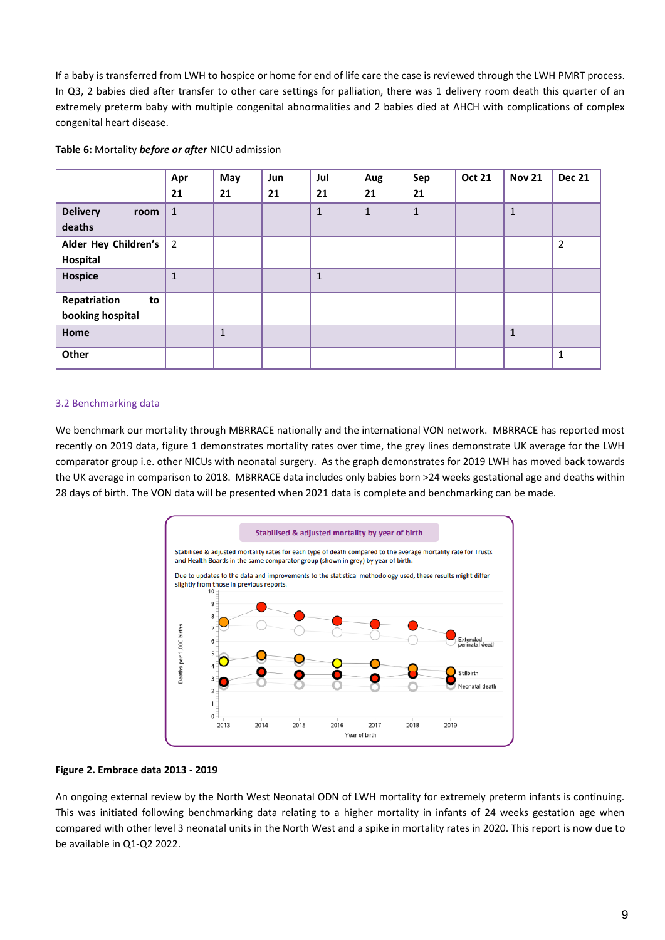If a baby is transferred from LWH to hospice or home for end of life care the case is reviewed through the LWH PMRT process. In Q3, 2 babies died after transfer to other care settings for palliation, there was 1 delivery room death this quarter of an extremely preterm baby with multiple congenital abnormalities and 2 babies died at AHCH with complications of complex congenital heart disease.

|  |  |  |  |  |  | Table 6: Mortality before or after NICU admission |
|--|--|--|--|--|--|---------------------------------------------------|
|--|--|--|--|--|--|---------------------------------------------------|

|                         | Apr            | May          | Jun | Jul          | Aug          | Sep          | <b>Oct 21</b> | <b>Nov 21</b> | <b>Dec 21</b>  |
|-------------------------|----------------|--------------|-----|--------------|--------------|--------------|---------------|---------------|----------------|
|                         | 21             | 21           | 21  | 21           | 21           | 21           |               |               |                |
| <b>Delivery</b><br>room | $\mathbf{1}$   |              |     | $\mathbf{1}$ | $\mathbf{1}$ | $\mathbf{1}$ |               | $\mathbf{1}$  |                |
| deaths                  |                |              |     |              |              |              |               |               |                |
| Alder Hey Children's    | $\overline{2}$ |              |     |              |              |              |               |               | $\overline{2}$ |
| Hospital                |                |              |     |              |              |              |               |               |                |
| <b>Hospice</b>          | $\mathbf{1}$   |              |     | $\mathbf{1}$ |              |              |               |               |                |
| Repatriation<br>to      |                |              |     |              |              |              |               |               |                |
| booking hospital        |                |              |     |              |              |              |               |               |                |
| Home                    |                | $\mathbf{1}$ |     |              |              |              |               | $\mathbf{1}$  |                |
| Other                   |                |              |     |              |              |              |               |               | $\mathbf{1}$   |

#### 3.2 Benchmarking data

We benchmark our mortality through MBRRACE nationally and the international VON network. MBRRACE has reported most recently on 2019 data, figure 1 demonstrates mortality rates over time, the grey lines demonstrate UK average for the LWH comparator group i.e. other NICUs with neonatal surgery. As the graph demonstrates for 2019 LWH has moved back towards the UK average in comparison to 2018. MBRRACE data includes only babies born >24 weeks gestational age and deaths within 28 days of birth. The VON data will be presented when 2021 data is complete and benchmarking can be made.



#### **Figure 2. Embrace data 2013 - 2019**

An ongoing external review by the North West Neonatal ODN of LWH mortality for extremely preterm infants is continuing. This was initiated following benchmarking data relating to a higher mortality in infants of 24 weeks gestation age when compared with other level 3 neonatal units in the North West and a spike in mortality rates in 2020. This report is now due to be available in Q1-Q2 2022.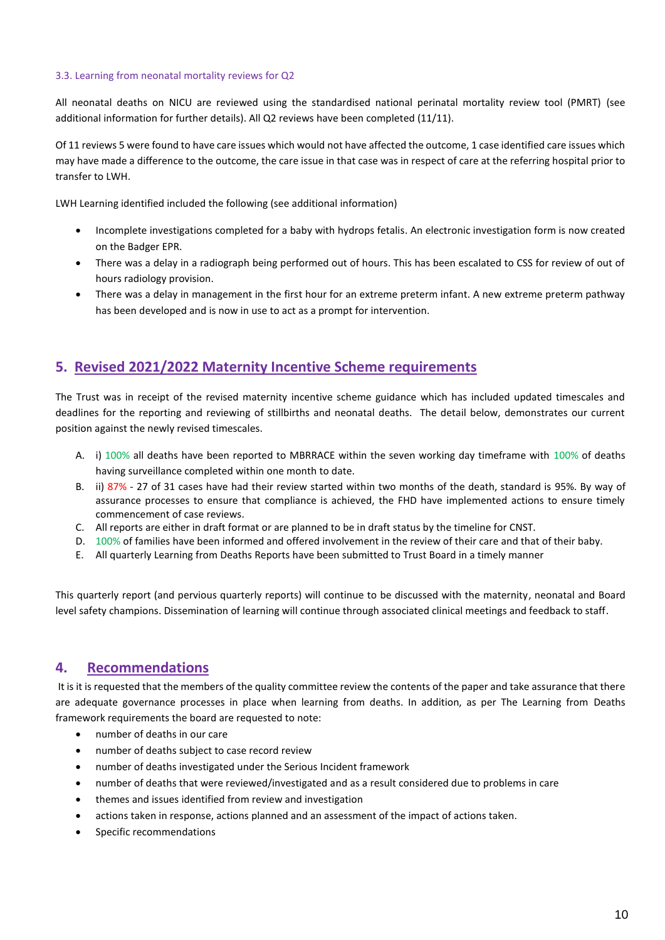#### 3.3. Learning from neonatal mortality reviews for Q2

All neonatal deaths on NICU are reviewed using the standardised national perinatal mortality review tool (PMRT) (see additional information for further details). All Q2 reviews have been completed (11/11).

Of 11 reviews 5 were found to have care issues which would not have affected the outcome, 1 case identified care issues which may have made a difference to the outcome, the care issue in that case was in respect of care at the referring hospital prior to transfer to LWH.

LWH Learning identified included the following (see additional information)

- Incomplete investigations completed for a baby with hydrops fetalis. An electronic investigation form is now created on the Badger EPR.
- There was a delay in a radiograph being performed out of hours. This has been escalated to CSS for review of out of hours radiology provision.
- There was a delay in management in the first hour for an extreme preterm infant. A new extreme preterm pathway has been developed and is now in use to act as a prompt for intervention.

### **5. Revised 2021/2022 Maternity Incentive Scheme requirements**

The Trust was in receipt of the revised maternity incentive scheme guidance which has included updated timescales and deadlines for the reporting and reviewing of stillbirths and neonatal deaths. The detail below, demonstrates our current position against the newly revised timescales.

- A. i) 100% all deaths have been reported to MBRRACE within the seven working day timeframe with 100% of deaths having surveillance completed within one month to date.
- B. ii) 87% 27 of 31 cases have had their review started within two months of the death, standard is 95%. By way of assurance processes to ensure that compliance is achieved, the FHD have implemented actions to ensure timely commencement of case reviews.
- C. All reports are either in draft format or are planned to be in draft status by the timeline for CNST.
- D. 100% of families have been informed and offered involvement in the review of their care and that of their baby.
- E. All quarterly Learning from Deaths Reports have been submitted to Trust Board in a timely manner

This quarterly report (and pervious quarterly reports) will continue to be discussed with the maternity, neonatal and Board level safety champions. Dissemination of learning will continue through associated clinical meetings and feedback to staff.

### **4. Recommendations**

It is it is requested that the members of the quality committee review the contents of the paper and take assurance that there are adequate governance processes in place when learning from deaths. In addition, as per The Learning from Deaths framework requirements the board are requested to note:

- number of deaths in our care
- number of deaths subject to case record review
- number of deaths investigated under the Serious Incident framework
- number of deaths that were reviewed/investigated and as a result considered due to problems in care
- themes and issues identified from review and investigation
- actions taken in response, actions planned and an assessment of the impact of actions taken.
- Specific recommendations